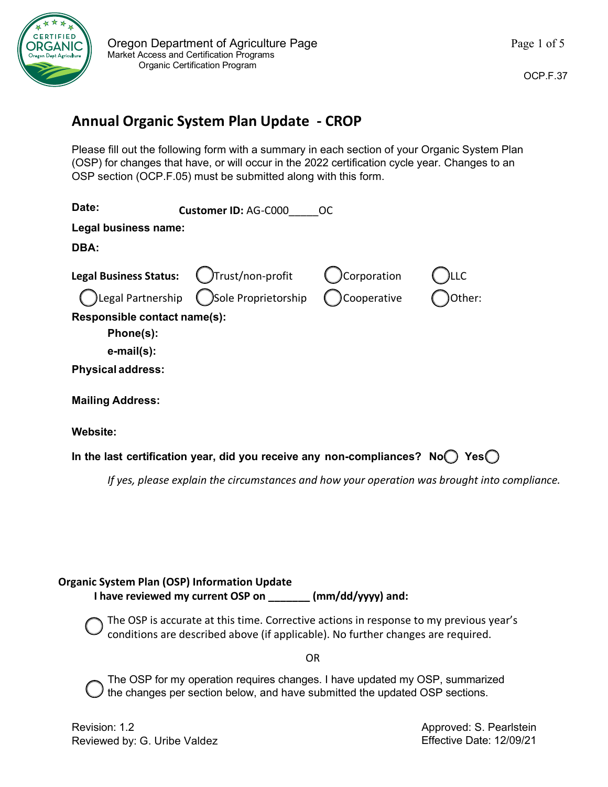

## **Annual Organic System Plan Update - CROP**

Please fill out the following form with a summary in each section of your Organic System Plan (OSP) for changes that have, or will occur in the 2022 certification cycle year. Changes to an OSP section (OCP.F.05) must be submitted along with this form.

| Date:                         | <b>Customer ID: AG-C000</b> | <sub>OC</sub> |        |
|-------------------------------|-----------------------------|---------------|--------|
| Legal business name:          |                             |               |        |
| DBA:                          |                             |               |        |
| <b>Legal Business Status:</b> | Trust/non-profit)           | Corporation   | LLC    |
| Legal Partnership)            | Sole Proprietorship         | Cooperative   | Other: |
| Responsible contact name(s):  |                             |               |        |
| Phone(s):                     |                             |               |        |
| $e$ -mail $(s)$ :             |                             |               |        |
| <b>Physical address:</b>      |                             |               |        |
| <b>Mailing Address:</b>       |                             |               |        |
| Website:                      |                             |               |        |
|                               |                             |               |        |

**In the last certification year, did you receive any non-compliances? No Yes**

*If yes, please explain the circumstances and how your operation was brought into compliance.*

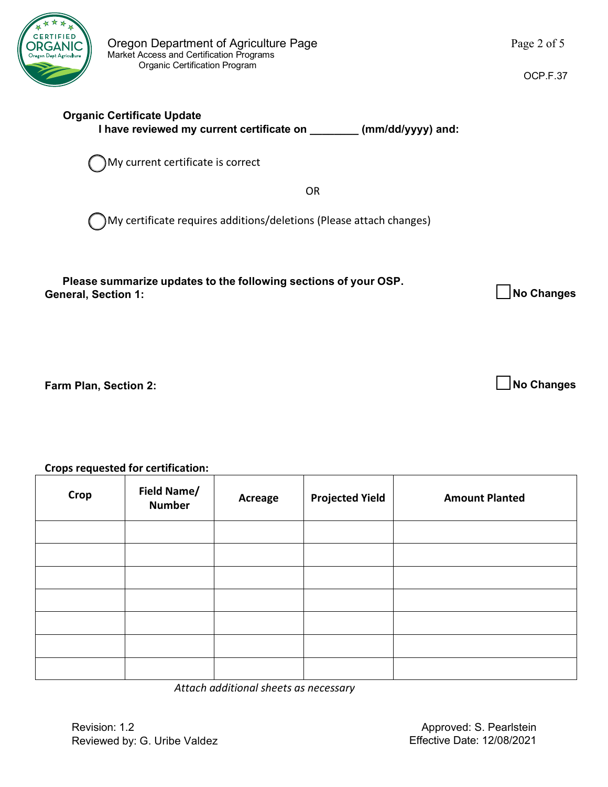

| Please summarize updates to the following sections of your OSP.<br><b>General, Section 1:</b> | No Changes |
|-----------------------------------------------------------------------------------------------|------------|
|                                                                                               |            |

**Farm Plan, Section 2:**

## **Crops requested for certification:**

| <b>Crops requested for certification:</b> |                              |         |                        |                       |
|-------------------------------------------|------------------------------|---------|------------------------|-----------------------|
| <b>Crop</b>                               | Field Name/<br><b>Number</b> | Acreage | <b>Projected Yield</b> | <b>Amount Planted</b> |
|                                           |                              |         |                        |                       |
|                                           |                              |         |                        |                       |
|                                           |                              |         |                        |                       |
|                                           |                              |         |                        |                       |
|                                           |                              |         |                        |                       |
|                                           |                              |         |                        |                       |
|                                           |                              |         |                        |                       |

*Attach additional sheets as necessary*

OCP.F.37

**No Changes**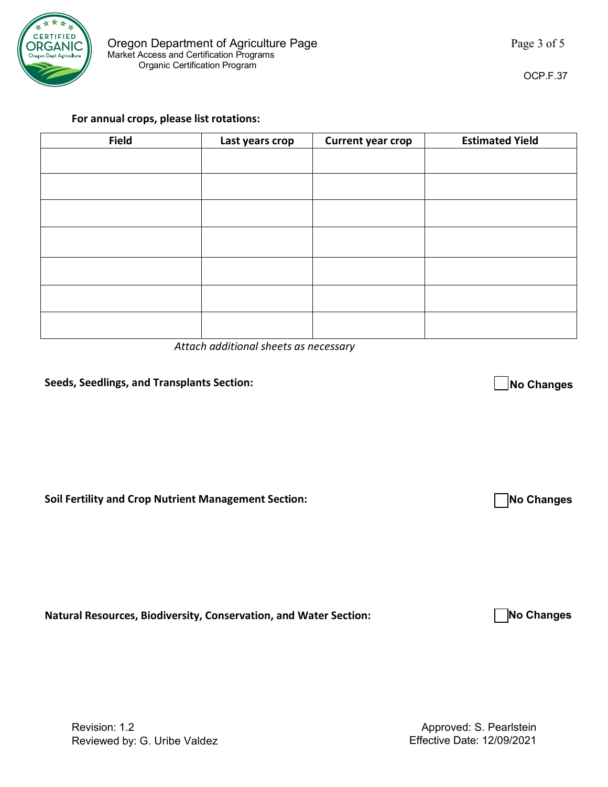

| <b>Field</b> | Last years crop | Current year crop | <b>Estimated Yield</b> |
|--------------|-----------------|-------------------|------------------------|
|              |                 |                   |                        |
|              |                 |                   |                        |
|              |                 |                   |                        |
|              |                 |                   |                        |
|              |                 |                   |                        |
|              |                 |                   |                        |
|              |                 |                   |                        |

*Attach additional sheets as necessary*

## **Seeds, Seedlings, and Transplants Section:**

**Soil Fertility and Crop Nutrient Management Section:**

**Natural Resources, Biodiversity, Conservation, and Water Section:**

**No Changes**

**No Changes**

OCP.F.37

**No Changes**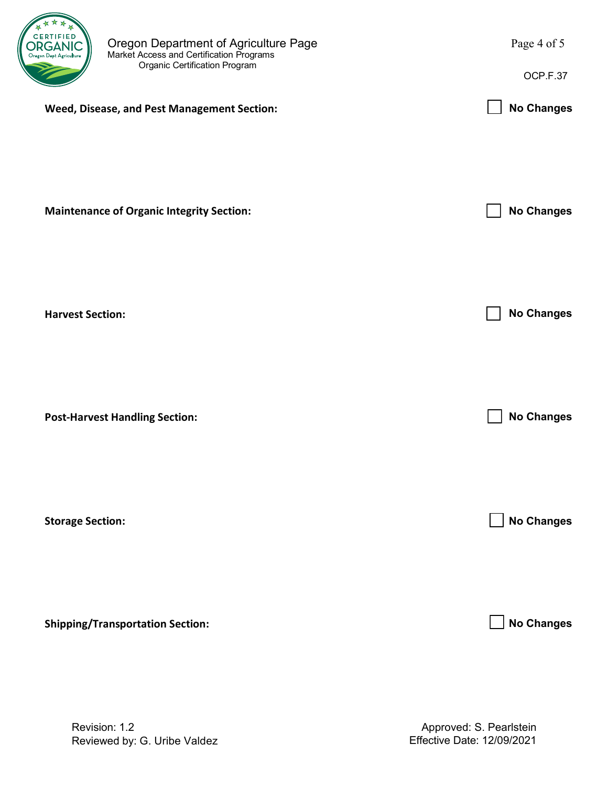

|                                                  | OCP.F.37          |
|--------------------------------------------------|-------------------|
| Weed, Disease, and Pest Management Section:      | <b>No Changes</b> |
| <b>Maintenance of Organic Integrity Section:</b> | <b>No Changes</b> |
| <b>Harvest Section:</b>                          | <b>No Changes</b> |
| <b>Post-Harvest Handling Section:</b>            | <b>No Changes</b> |
| <b>Storage Section:</b>                          | <b>No Changes</b> |

**Shipping/Transportation Section:**

**No Changes**